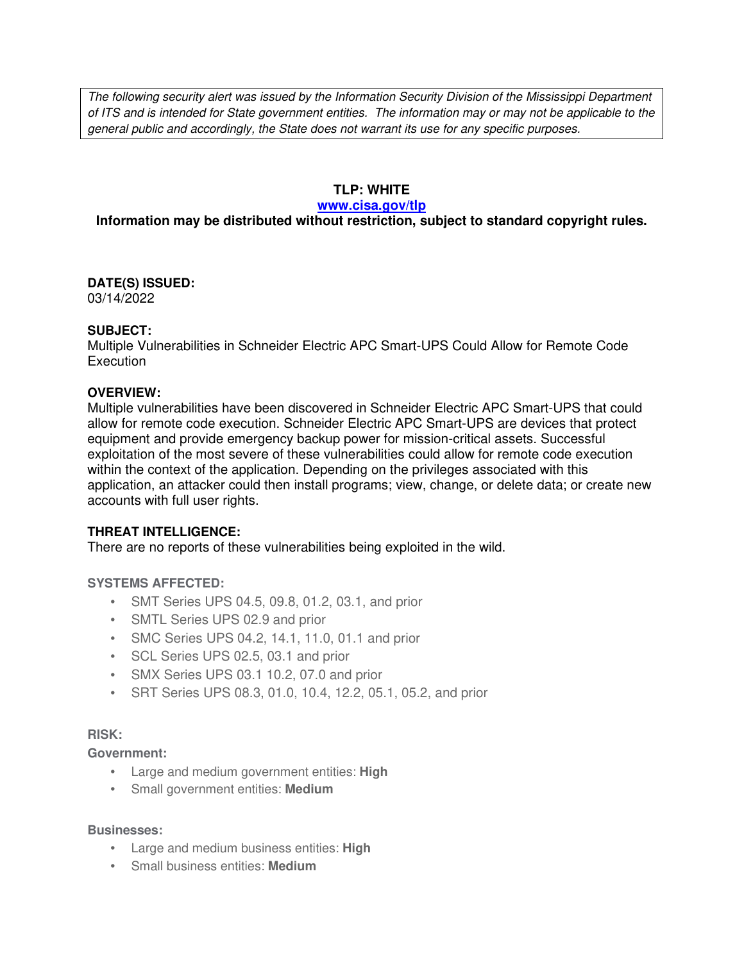The following security alert was issued by the Information Security Division of the Mississippi Department of ITS and is intended for State government entities. The information may or may not be applicable to the general public and accordingly, the State does not warrant its use for any specific purposes.

## **TLP: WHITE**

#### **www.cisa.gov/tlp**

# **Information may be distributed without restriction, subject to standard copyright rules.**

#### **DATE(S) ISSUED:** 03/14/2022

## **SUBJECT:**

Multiple Vulnerabilities in Schneider Electric APC Smart-UPS Could Allow for Remote Code **Execution** 

## **OVERVIEW:**

Multiple vulnerabilities have been discovered in Schneider Electric APC Smart-UPS that could allow for remote code execution. Schneider Electric APC Smart-UPS are devices that protect equipment and provide emergency backup power for mission-critical assets. Successful exploitation of the most severe of these vulnerabilities could allow for remote code execution within the context of the application. Depending on the privileges associated with this application, an attacker could then install programs; view, change, or delete data; or create new accounts with full user rights.

# **THREAT INTELLIGENCE:**

There are no reports of these vulnerabilities being exploited in the wild.

## **SYSTEMS AFFECTED:**

- SMT Series UPS 04.5, 09.8, 01.2, 03.1, and prior
- SMTL Series UPS 02.9 and prior
- SMC Series UPS 04.2, 14.1, 11.0, 01.1 and prior
- SCL Series UPS 02.5, 03.1 and prior
- SMX Series UPS 03.1 10.2, 07.0 and prior
- SRT Series UPS 08.3, 01.0, 10.4, 12.2, 05.1, 05.2, and prior

## **RISK:**

**Government:**

- Large and medium government entities: **High**
- Small government entities: **Medium**

## **Businesses:**

- Large and medium business entities: **High**
- Small business entities: **Medium**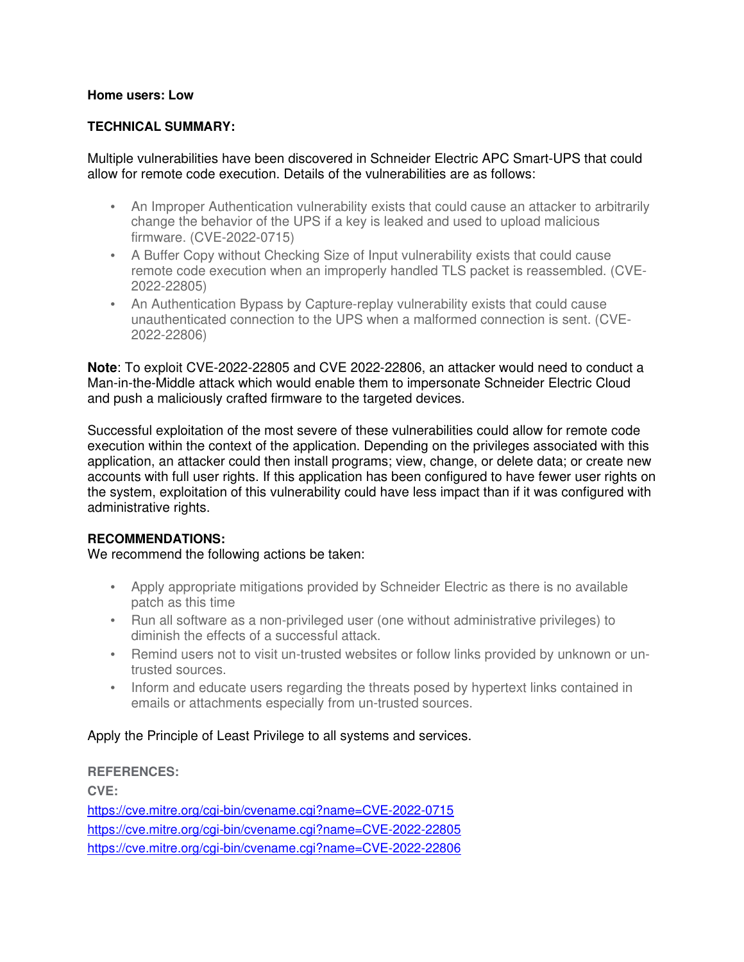#### **Home users: Low**

#### **TECHNICAL SUMMARY:**

Multiple vulnerabilities have been discovered in Schneider Electric APC Smart-UPS that could allow for remote code execution. Details of the vulnerabilities are as follows:

- An Improper Authentication vulnerability exists that could cause an attacker to arbitrarily change the behavior of the UPS if a key is leaked and used to upload malicious firmware. (CVE-2022-0715)
- A Buffer Copy without Checking Size of Input vulnerability exists that could cause remote code execution when an improperly handled TLS packet is reassembled. (CVE-2022-22805)
- An Authentication Bypass by Capture-replay vulnerability exists that could cause unauthenticated connection to the UPS when a malformed connection is sent. (CVE-2022-22806)

**Note**: To exploit CVE-2022-22805 and CVE 2022-22806, an attacker would need to conduct a Man-in-the-Middle attack which would enable them to impersonate Schneider Electric Cloud and push a maliciously crafted firmware to the targeted devices.

Successful exploitation of the most severe of these vulnerabilities could allow for remote code execution within the context of the application. Depending on the privileges associated with this application, an attacker could then install programs; view, change, or delete data; or create new accounts with full user rights. If this application has been configured to have fewer user rights on the system, exploitation of this vulnerability could have less impact than if it was configured with administrative rights.

#### **RECOMMENDATIONS:**

We recommend the following actions be taken:

- Apply appropriate mitigations provided by Schneider Electric as there is no available patch as this time
- Run all software as a non-privileged user (one without administrative privileges) to diminish the effects of a successful attack.
- Remind users not to visit un-trusted websites or follow links provided by unknown or untrusted sources.
- Inform and educate users regarding the threats posed by hypertext links contained in emails or attachments especially from un-trusted sources.

## Apply the Principle of Least Privilege to all systems and services.

#### **REFERENCES:**

**CVE:** https://cve.mitre.org/cgi-bin/cvename.cgi?name=CVE-2022-0715 https://cve.mitre.org/cgi-bin/cvename.cgi?name=CVE-2022-22805 https://cve.mitre.org/cgi-bin/cvename.cgi?name=CVE-2022-22806